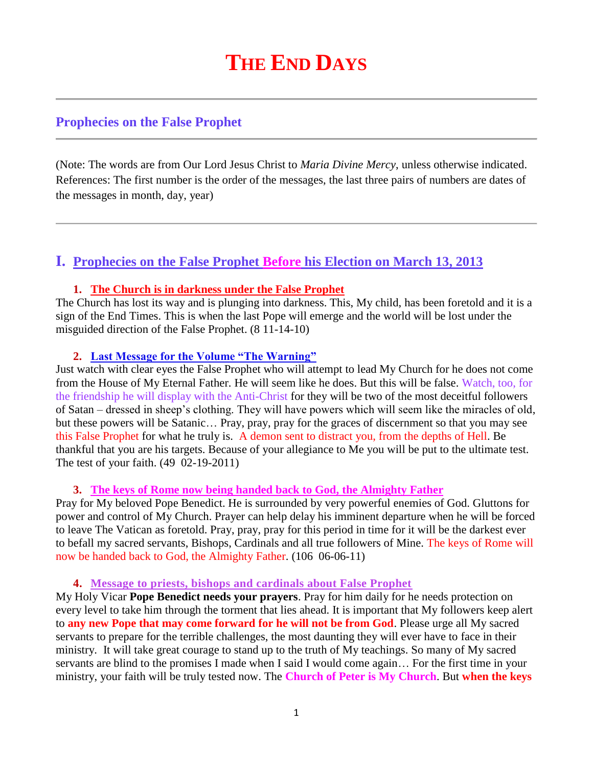# **THE END DAYS**

## **Prophecies on the False Prophet**

(Note: The words are from Our Lord Jesus Christ to *Maria Divine Mercy*, unless otherwise indicated. References: The first number is the order of the messages, the last three pairs of numbers are dates of the messages in month, day, year)

## **I. Prophecies on the False Prophet Before his Election on March 13, 2013**

#### **1. The Church is in darkness under the False Prophet**

The Church has lost its way and is plunging into darkness. This, My child, has been foretold and it is a sign of the End Times. This is when the last Pope will emerge and the world will be lost under the misguided direction of the False Prophet. (8 11-14-10)

#### **2. [Last Message for the Volume "The Warning"](http://www.thewarningsecondcoming.com/last-message-for-the-volume-the-warning/)**

Just watch with clear eyes the False Prophet who will attempt to lead My Church for he does not come from the House of My Eternal Father. He will seem like he does. But this will be false. Watch, too, for the friendship he will display with the Anti-Christ for they will be two of the most deceitful followers of Satan – dressed in sheep's clothing. They will have powers which will seem like the miracles of old, but these powers will be Satanic… Pray, pray, pray for the graces of discernment so that you may see this False Prophet for what he truly is. A demon sent to distract you, from the depths of Hell. Be thankful that you are his targets. Because of your allegiance to Me you will be put to the ultimate test. The test of your faith. (49 02-19-2011)

#### **3. [The keys of Rome now being handed back to God,](http://www.thewarningsecondcoming.com/the-keys-of-rome-now-being-handed-back-to-god-the-almighty-father/) the Almighty Father**

Pray for My beloved Pope Benedict. He is surrounded by very powerful enemies of God. Gluttons for power and control of My Church. Prayer can help delay his imminent departure when he will be forced to leave The Vatican as foretold. Pray, pray, pray for this period in time for it will be the darkest ever to befall my sacred servants, Bishops, Cardinals and all true followers of Mine. The keys of Rome will now be handed back to God, the Almighty Father. (106 06-06-11)

#### **4. [Message to priests, bishops and cardinals about False Prophet](http://www.thewarningsecondcoming.com/message-to-priests-bishops-and-cardinals-about-false-prophet/)**

My Holy Vicar **Pope Benedict needs your prayers**. Pray for him daily for he needs protection on every level to take him through the torment that lies ahead. It is important that My followers keep alert to **any new Pope that may come forward for he will not be from God**. Please urge all My sacred servants to prepare for the terrible challenges, the most daunting they will ever have to face in their ministry. It will take great courage to stand up to the truth of My teachings. So many of My sacred servants are blind to the promises I made when I said I would come again… For the first time in your ministry, your faith will be truly tested now. The **Church of Peter is My Church**. But **when the keys**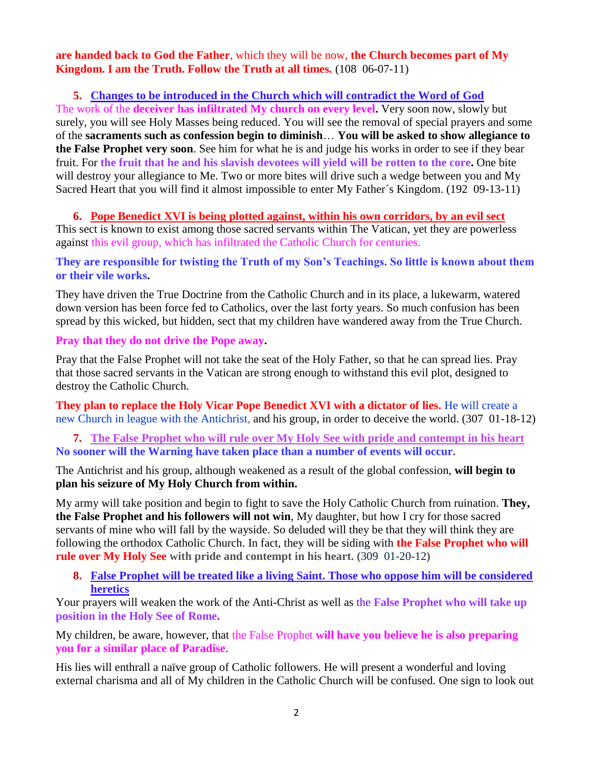**are handed back to God the Father**, which they will be now, **the Church becomes part of My Kingdom. I am the Truth. Follow the Truth at all times.** (108 06-07-11)

#### **5. [Changes to be introduced in the Church which will contradict the Word of God](http://www.thewarningsecondcoming.com/changes-to-be-introduced-in-the-church-which-will-contradict-the-word-of-god/)**

The work of the **deceiver has infiltrated My church on every level.** Very soon now, slowly but surely, you will see Holy Masses being reduced. You will see the removal of special prayers and some of the **sacraments such as confession begin to diminish**… **You will be asked to show allegiance to the False Prophet very soon**. See him for what he is and judge his works in order to see if they bear fruit. For **the fruit that he and his slavish devotees will yield will be rotten to the core.** One bite will destroy your allegiance to Me. Two or more bites will drive such a wedge between you and My Sacred Heart that you will find it almost impossible to enter My Father´s Kingdom. (192 09-13-11)

#### **6. Pope Benedict XVI is being plotted against, within his own corridors, by an evil sect**

This sect is known to exist among those sacred servants within The Vatican, yet they are powerless against this evil group, which has infiltrated the Catholic Church for centuries.

#### **They are responsible for twisting the Truth of my Son's Teachings. So little is known about them or their vile works.**

They have driven the True Doctrine from the Catholic Church and in its place, a lukewarm, watered down version has been force fed to Catholics, over the last forty years. So much confusion has been spread by this wicked, but hidden, sect that my children have wandered away from the True Church.

#### **Pray that they do not drive the Pope away.**

Pray that the False Prophet will not take the seat of the Holy Father, so that he can spread lies. Pray that those sacred servants in the Vatican are strong enough to withstand this evil plot, designed to destroy the Catholic Church.

**They plan to replace the Holy Vicar Pope Benedict XVI with a dictator of lies.** He will create a new Church in league with the Antichrist, and his group, in order to deceive the world. (307 01-18-12)

**7. The False Prophet who will rule over My Holy See with pride and contempt in his heart No sooner will the Warning have taken place than a number of events will occur.**

The Antichrist and his group, although weakened as a result of the global confession, **will begin to plan his seizure of My Holy Church from within.**

My army will take position and begin to fight to save the Holy Catholic Church from ruination. **They, the False Prophet and his followers will not win**, My daughter, but how I cry for those sacred servants of mine who will fall by the wayside. So deluded will they be that they will think they are following the orthodox Catholic Church. In fact, they will be siding with **the False Prophet who will rule over My Holy See with pride and contempt in his heart. (**309 01-20-12**)**

**8. [False Prophet will be treated like a living Saint. Those who oppose him will be considered](http://www.thewarningsecondcoming.com/false-prophet-will-be-treated-like-a-living-saint-those-who-oppose-him-will-be-considered-a-heretic/)  [heretics](http://www.thewarningsecondcoming.com/false-prophet-will-be-treated-like-a-living-saint-those-who-oppose-him-will-be-considered-a-heretic/)**

Your prayers will weaken the work of the Anti-Christ as well as the **False Prophet who will take up position in the Holy See of Rome.**

My children, be aware, however, that the False Prophet **will have you believe he is also preparing you for a similar place of Paradise**.

His lies will enthrall a naïve group of Catholic followers. He will present a wonderful and loving external charisma and all of My children in the Catholic Church will be confused. One sign to look out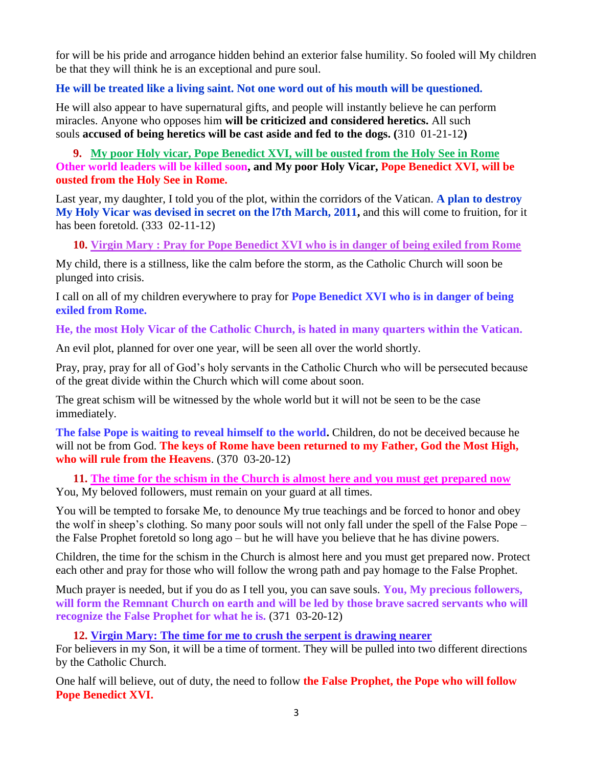for will be his pride and arrogance hidden behind an exterior false humility. So fooled will My children be that they will think he is an exceptional and pure soul.

#### **He will be treated like a living saint. Not one word out of his mouth will be questioned.**

He will also appear to have supernatural gifts, and people will instantly believe he can perform miracles. Anyone who opposes him **will be criticized and considered heretics.** All such souls **accused of being heretics will be cast aside and fed to the dogs. (**310 01-21-12**)**

**9. [My poor Holy vicar, Pope Benedict XVI, will be ousted from the Holy See in Rome](http://www.thewarningsecondcoming.com/my-poor-holy-vicar-pope-benedict-xvi-will-be-ousted-from-the-holy-see-in-rome/) Other world leaders will be killed soon, and My poor Holy Vicar, Pope Benedict XVI, will be ousted from the Holy See in Rome.**

Last year, my daughter, I told you of the plot, within the corridors of the Vatican. **A plan to destroy My Holy Vicar was devised in secret on the l7th March, 2011,** and this will come to fruition, for it has been foretold. (333 02-11-12)

**10. Virgin Mary : [Pray for Pope Benedict XVI who is in danger of being exiled from Rome](http://www.thewarningsecondcoming.com/virgin-mary-pray-for-pope-benedict-xvi-who-is-in-danger-of-being-exiled-from-rome/)**

My child, there is a stillness, like the calm before the storm, as the Catholic Church will soon be plunged into crisis.

I call on all of my children everywhere to pray for **Pope Benedict XVI who is in danger of being exiled from Rome.**

**He, the most Holy Vicar of the Catholic Church, is hated in many quarters within the Vatican.**

An evil plot, planned for over one year, will be seen all over the world shortly.

Pray, pray, pray for all of God's holy servants in the Catholic Church who will be persecuted because of the great divide within the Church which will come about soon.

The great schism will be witnessed by the whole world but it will not be seen to be the case immediately.

**The false Pope is waiting to reveal himself to the world.** Children, do not be deceived because he will not be from God. **The keys of Rome have been returned to my Father, God the Most High, who will rule from the Heavens**. (370 03-20-12)

**11. [The time for the schism in the Church is almost here and you must get prepared now](http://www.thewarningsecondcoming.com/the-time-for-the-schism-in-the-church-is-almost-here-and-you-must-get-prepared-now/)** You, My beloved followers, must remain on your guard at all times.

You will be tempted to forsake Me, to denounce My true teachings and be forced to honor and obey the wolf in sheep's clothing. So many poor souls will not only fall under the spell of the False Pope – the False Prophet foretold so long ago – but he will have you believe that he has divine powers.

Children, the time for the schism in the Church is almost here and you must get prepared now. Protect each other and pray for those who will follow the wrong path and pay homage to the False Prophet.

Much prayer is needed, but if you do as I tell you, you can save souls. **You, My precious followers, will form the Remnant Church on earth and will be led by those brave sacred servants who will recognize the False Prophet for what he is.** (371 03-20-12)

### **12. [Virgin Mary: The time for me to crush the serpent is drawing nearer](http://www.thewarningsecondcoming.com/virgin-mary-the-time-for-me-to-crush-the-serpent-is-drawing-nearer/)**

For believers in my Son, it will be a time of torment. They will be pulled into two different directions by the Catholic Church.

One half will believe, out of duty, the need to follow **the False Prophet, the Pope who will follow Pope Benedict XVI.**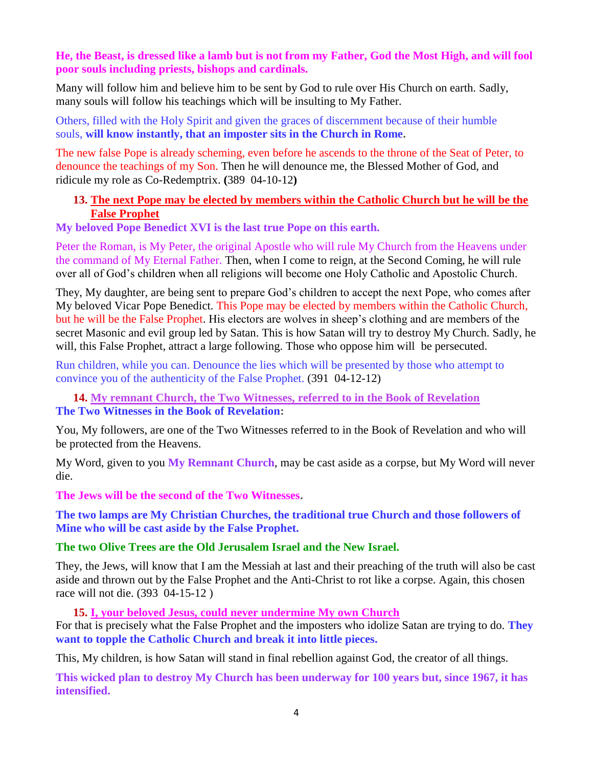#### **He, the Beast, is dressed like a lamb but is not from my Father, God the Most High, and will fool poor souls including priests, bishops and cardinals.**

Many will follow him and believe him to be sent by God to rule over His Church on earth. Sadly, many souls will follow his teachings which will be insulting to My Father.

Others, filled with the Holy Spirit and given the graces of discernment because of their humble souls, **will know instantly, that an imposter sits in the Church in Rome.**

The new false Pope is already scheming, even before he ascends to the throne of the Seat of Peter, to denounce the teachings of my Son. Then he will denounce me, the Blessed Mother of God, and ridicule my role as Co-Redemptrix. **(**389 04-10-12**)**

#### **13. [The next Pope may be elected by members within the Catholic Church but he will be the](http://www.thewarningsecondcoming.com/the-next-pope-may-be-elected-by-members-within-the-catholic-church-but-he-will-be-the-false-prophet/)  [False Prophet](http://www.thewarningsecondcoming.com/the-next-pope-may-be-elected-by-members-within-the-catholic-church-but-he-will-be-the-false-prophet/)**

**My beloved Pope Benedict XVI is the last true Pope on this earth.**

Peter the Roman, is My Peter, the original Apostle who will rule My Church from the Heavens under the command of My Eternal Father. Then, when I come to reign, at the Second Coming, he will rule over all of God's children when all religions will become one Holy Catholic and Apostolic Church.

They, My daughter, are being sent to prepare God's children to accept the next Pope, who comes after My beloved Vicar Pope Benedict. This Pope may be elected by members within the Catholic Church, but he will be the False Prophet. His electors are wolves in sheep's clothing and are members of the secret Masonic and evil group led by Satan. This is how Satan will try to destroy My Church. Sadly, he will, this False Prophet, attract a large following. Those who oppose him will be persecuted.

Run children, while you can. Denounce the lies which will be presented by those who attempt to convince you of the authenticity of the False Prophet. (391 04-12-12)

**14. [My remnant Church, the Two Witnesses, referred to in the Book of Revelation](http://www.thewarningsecondcoming.com/my-remnant-church-the-two-witnesses-referred-to-in-the-book-of-revelation/) The Two Witnesses in the Book of Revelation:**

You, My followers, are one of the Two Witnesses referred to in the Book of Revelation and who will be protected from the Heavens.

My Word, given to you **My Remnant Church**, may be cast aside as a corpse, but My Word will never die.

**The Jews will be the second of the Two Witnesses.**

**The two lamps are My Christian Churches, the traditional true Church and those followers of Mine who will be cast aside by the False Prophet.**

#### **The two Olive Trees are the Old Jerusalem Israel and the New Israel.**

They, the Jews, will know that I am the Messiah at last and their preaching of the truth will also be cast aside and thrown out by the False Prophet and the Anti-Christ to rot like a corpse. Again, this chosen race will not die. (393 04-15-12 )

**15. [I, your beloved Jesus, could never undermine My own Church](http://www.thewarningsecondcoming.com/i-your-beloved-jesus-could-never-undermine-my-own-church/)**

For that is precisely what the False Prophet and the imposters who idolize Satan are trying to do. **They want to topple the Catholic Church and break it into little pieces.**

This, My children, is how Satan will stand in final rebellion against God, the creator of all things.

**This wicked plan to destroy My Church has been underway for 100 years but, since 1967, it has intensified.**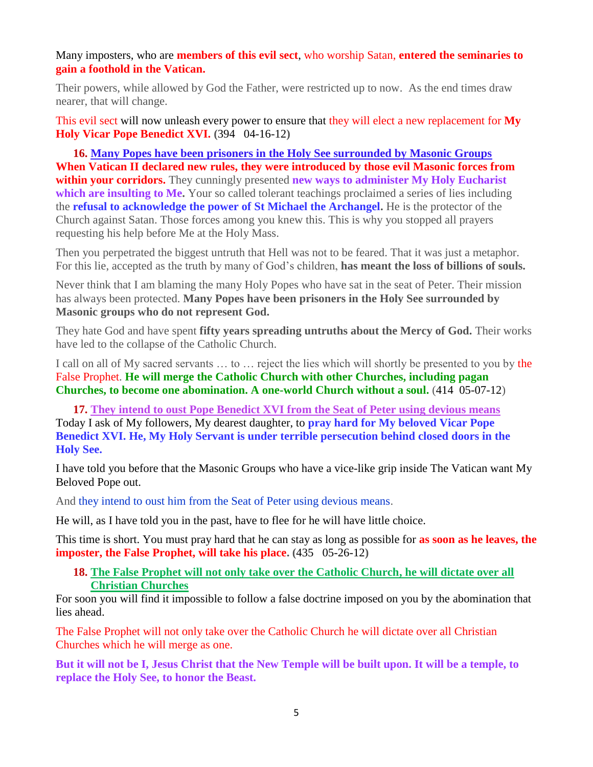Many imposters, who are **members of this evil sect**, who worship Satan, **entered the seminaries to gain a foothold in the Vatican.**

Their powers, while allowed by God the Father, were restricted up to now. As the end times draw nearer, that will change.

This evil sect will now unleash every power to ensure that they will elect a new replacement for **My Holy Vicar Pope Benedict XVI. (**394 04-16-12**)**

**16. [Many Popes have been prisoners in the Holy See surrounded by Masonic Groups](http://www.thewarningsecondcoming.com/many-popes-have-been-prisoners-in-the-holy-see-surrounded-by-masonic-groups/) When Vatican II declared new rules, they were introduced by those evil Masonic forces from within your corridors.** They cunningly presented **new ways to administer My Holy Eucharist**  which are insulting to Me. Your so called tolerant teachings proclaimed a series of lies including the **refusal to acknowledge the power of St Michael the Archangel.** He is the protector of the Church against Satan. Those forces among you knew this. This is why you stopped all prayers requesting his help before Me at the Holy Mass.

Then you perpetrated the biggest untruth that Hell was not to be feared. That it was just a metaphor. For this lie, accepted as the truth by many of God's children, **has meant the loss of billions of souls.**

Never think that I am blaming the many Holy Popes who have sat in the seat of Peter. Their mission has always been protected. **Many Popes have been prisoners in the Holy See surrounded by Masonic groups who do not represent God.**

They hate God and have spent **fifty years spreading untruths about the Mercy of God.** Their works have led to the collapse of the Catholic Church.

I call on all of My sacred servants … to … reject the lies which will shortly be presented to you by the False Prophet. **He will merge the Catholic Church with other Churches, including pagan Churches, to become one abomination. A one-world Church without a soul.** (414 05-07-12)

**17. [They intend to oust Pope Benedict XVI from the Seat of Peter using devious means](http://www.thewarningsecondcoming.com/they-intend-to-oust-pope-benedict-xiv-from-the-seat-of-peter-using-devious-means/)** Today I ask of My followers, My dearest daughter, to **pray hard for My beloved Vicar Pope Benedict XVI. He, My Holy Servant is under terrible persecution behind closed doors in the Holy See.**

I have told you before that the Masonic Groups who have a vice-like grip inside The Vatican want My Beloved Pope out.

And they intend to oust him from the Seat of Peter using devious means.

He will, as I have told you in the past, have to flee for he will have little choice.

This time is short. You must pray hard that he can stay as long as possible for **as soon as he leaves, the imposter, the False Prophet, will take his place. (**435 05-26-12**)**

**18. [The False Prophet will not only take over the Catholic Church,](http://www.thewarningsecondcoming.com/the-false-prophet-will-not-only-take-over-the-catholic-church-he-will-dictate-over-all-christian-churches/) he will dictate over all [Christian Churches](http://www.thewarningsecondcoming.com/the-false-prophet-will-not-only-take-over-the-catholic-church-he-will-dictate-over-all-christian-churches/)**

For soon you will find it impossible to follow a false doctrine imposed on you by the abomination that lies ahead.

The False Prophet will not only take over the Catholic Church he will dictate over all Christian Churches which he will merge as one.

**But it will not be I, Jesus Christ that the New Temple will be built upon. It will be a temple, to replace the Holy See, to honor the Beast.**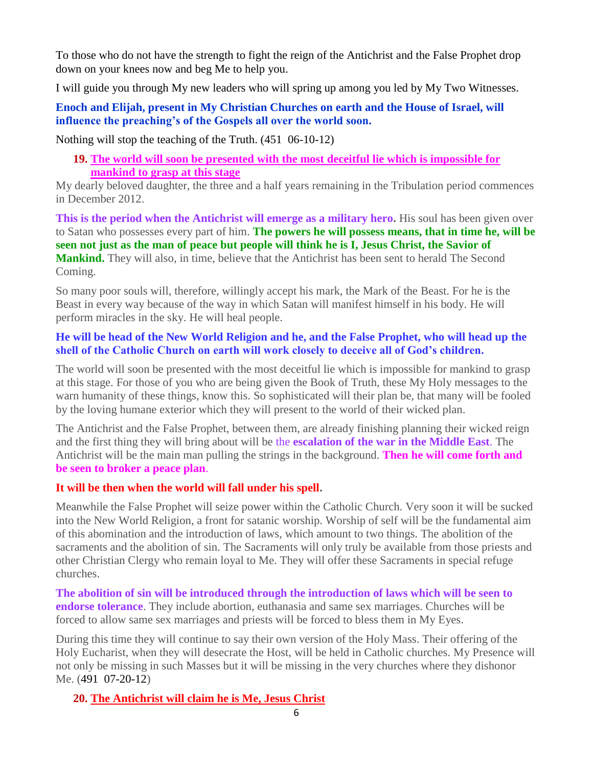To those who do not have the strength to fight the reign of the Antichrist and the False Prophet drop down on your knees now and beg Me to help you.

I will guide you through My new leaders who will spring up among you led by My Two Witnesses.

**Enoch and Elijah, present in My Christian Churches on earth and the House of Israel, will influence the preaching's of the Gospels all over the world soon.**

Nothing will stop the teaching of the Truth. (451 06-10-12)

**19. [The world will soon be presented with the most deceitful lie which is impossible for](http://www.thewarningsecondcoming.com/the-world-will-soon-be-presented-with-the-most-deceitful-lie-which-is-impossible-for-mankind-to-grasp-at-this-stage/)  [mankind to grasp at this stage](http://www.thewarningsecondcoming.com/the-world-will-soon-be-presented-with-the-most-deceitful-lie-which-is-impossible-for-mankind-to-grasp-at-this-stage/)**

My dearly beloved daughter, the three and a half years remaining in the Tribulation period commences in December 2012.

**This is the period when the Antichrist will emerge as a military hero.** His soul has been given over to Satan who possesses every part of him. **The powers he will possess means, that in time he, will be seen not just as the man of peace but people will think he is I, Jesus Christ, the Savior of Mankind.** They will also, in time, believe that the Antichrist has been sent to herald The Second Coming.

So many poor souls will, therefore, willingly accept his mark, the Mark of the Beast. For he is the Beast in every way because of the way in which Satan will manifest himself in his body. He will perform miracles in the sky. He will heal people.

#### **He will be head of the New World Religion and he, and the False Prophet, who will head up the shell of the Catholic Church on earth will work closely to deceive all of God's children.**

The world will soon be presented with the most deceitful lie which is impossible for mankind to grasp at this stage. For those of you who are being given the Book of Truth, these My Holy messages to the warn humanity of these things, know this. So sophisticated will their plan be, that many will be fooled by the loving humane exterior which they will present to the world of their wicked plan.

The Antichrist and the False Prophet, between them, are already finishing planning their wicked reign and the first thing they will bring about will be the **escalation of the war in the Middle East**. The Antichrist will be the main man pulling the strings in the background. **Then he will come forth and be seen to broker a peace plan**.

#### **It will be then when the world will fall under his spell.**

Meanwhile the False Prophet will seize power within the Catholic Church. Very soon it will be sucked into the New World Religion, a front for satanic worship. Worship of self will be the fundamental aim of this abomination and the introduction of laws, which amount to two things. The abolition of the sacraments and the abolition of sin. The Sacraments will only truly be available from those priests and other Christian Clergy who remain loyal to Me. They will offer these Sacraments in special refuge churches.

**The abolition of sin will be introduced through the introduction of laws which will be seen to endorse tolerance**. They include abortion, euthanasia and same sex marriages. Churches will be forced to allow same sex marriages and priests will be forced to bless them in My Eyes.

During this time they will continue to say their own version of the Holy Mass. Their offering of the Holy Eucharist, when they will desecrate the Host, will be held in Catholic churches. My Presence will not only be missing in such Masses but it will be missing in the very churches where they dishonor Me. (491 07-20-12)

**20. [The Antichrist will claim he is Me, Jesus Christ](http://www.thewarningsecondcoming.com/the-antichrist-will-claim-he-is-me-jesus-christ/)**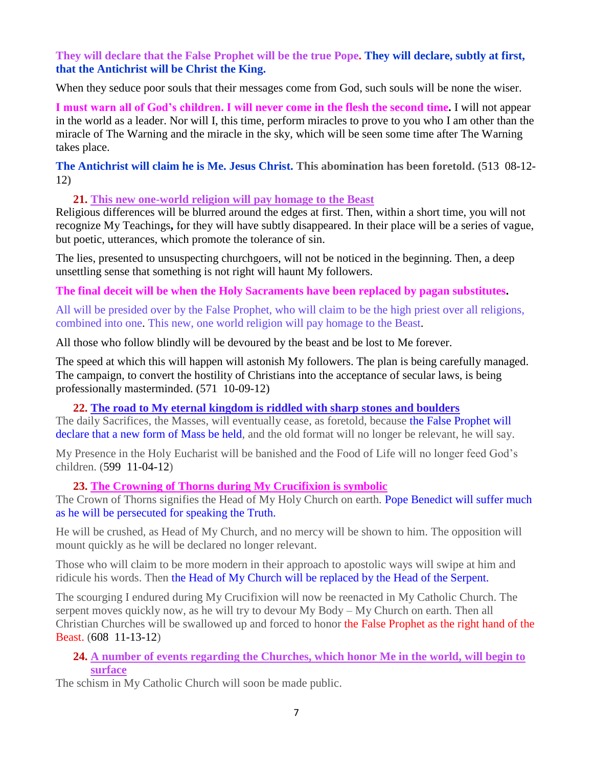#### **They will declare that the False Prophet will be the true Pope. They will declare, subtly at first, that the Antichrist will be Christ the King.**

When they seduce poor souls that their messages come from God, such souls will be none the wiser.

**I must warn all of God's children. I will never come in the flesh the second time.** I will not appear in the world as a leader. Nor will I, this time, perform miracles to prove to you who I am other than the miracle of The Warning and the miracle in the sky, which will be seen some time after The Warning takes place.

**The Antichrist will claim he is Me. Jesus Christ. This abomination has been foretold. (**513 08-12- 12**)**

#### **21. [This new one-world religion will pay homage to the Beast](http://www.thewarningsecondcoming.com/this-new-one-world-religion-will-pay-homage-to-the-beast/)**

Religious differences will be blurred around the edges at first. Then, within a short time, you will not recognize My Teachings**,** for they will have subtly disappeared. In their place will be a series of vague, but poetic, utterances, which promote the tolerance of sin.

The lies, presented to unsuspecting churchgoers, will not be noticed in the beginning. Then, a deep unsettling sense that something is not right will haunt My followers.

#### **The final deceit will be when the Holy Sacraments have been replaced by pagan substitutes.**

All will be presided over by the False Prophet, who will claim to be the high priest over all religions, combined into one. This new, one world religion will pay homage to the Beast.

All those who follow blindly will be devoured by the beast and be lost to Me forever.

The speed at which this will happen will astonish My followers. The plan is being carefully managed. The campaign, to convert the hostility of Christians into the acceptance of secular laws, is being professionally masterminded. (571 10-09-12)

#### **22. [The road to My eternal kingdom is riddled with sharp stones and boulders](http://www.thewarningsecondcoming.com/the-road-to-my-eternal-kingdom-is-riddled-with-sharp-stones-and-boulders/)**

The daily Sacrifices, the Masses, will eventually cease, as foretold, because the False Prophet will declare that a new form of Mass be held, and the old format will no longer be relevant, he will say.

My Presence in the Holy Eucharist will be banished and the Food of Life will no longer feed God's children. (599 11-04-12)

#### **23. [The Crowning of Thorns during My Crucifixion is symbolic](http://www.thewarningsecondcoming.com/the-crowning-of-thorns-during-my-crucifixion-is-symbolic/)**

The Crown of Thorns signifies the Head of My Holy Church on earth. Pope Benedict will suffer much as he will be persecuted for speaking the Truth.

He will be crushed, as Head of My Church, and no mercy will be shown to him. The opposition will mount quickly as he will be declared no longer relevant.

Those who will claim to be more modern in their approach to apostolic ways will swipe at him and ridicule his words. Then the Head of My Church will be replaced by the Head of the Serpent.

The scourging I endured during My Crucifixion will now be reenacted in My Catholic Church. The serpent moves quickly now, as he will try to devour My Body – My Church on earth. Then all Christian Churches will be swallowed up and forced to honor the False Prophet as the right hand of the Beast. (608 11-13-12)

#### **24. [A number of events regarding the Churches, which honor Me in the world, will begin to](http://www.thewarningsecondcoming.com/a-number-of-events-regarding-the-churches-which-honor-me-in-the-world-will-begin-to-surface/)  [surface](http://www.thewarningsecondcoming.com/a-number-of-events-regarding-the-churches-which-honor-me-in-the-world-will-begin-to-surface/)**

The schism in My Catholic Church will soon be made public.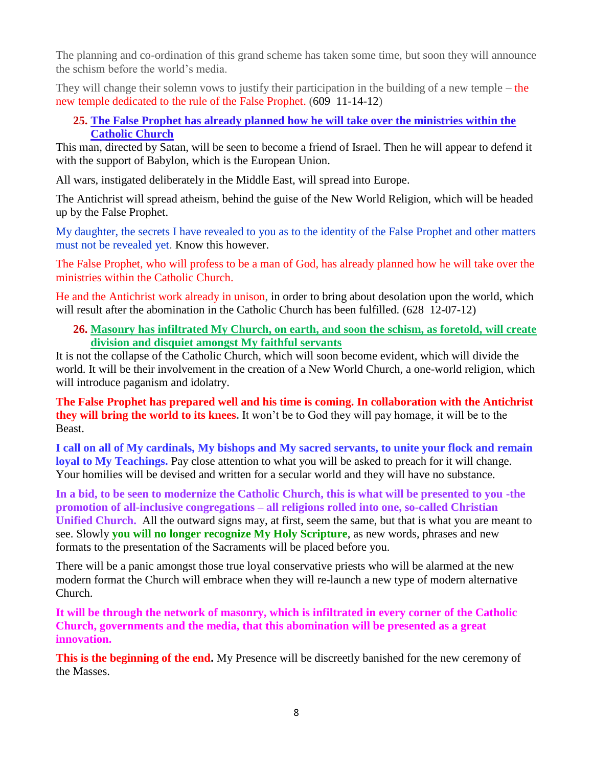The planning and co-ordination of this grand scheme has taken some time, but soon they will announce the schism before the world's media.

They will change their solemn vows to justify their participation in the building of a new temple – the new temple dedicated to the rule of the False Prophet. (609 11-14-12)

#### **25. [The False Prophet has already planned how he will take over the ministries within the](http://www.thewarningsecondcoming.com/the-false-prophet-has-already-planned-how-he-will-take-over-the-ministries-within-the-catholic-church/)  [Catholic Church](http://www.thewarningsecondcoming.com/the-false-prophet-has-already-planned-how-he-will-take-over-the-ministries-within-the-catholic-church/)**

This man, directed by Satan, will be seen to become a friend of Israel. Then he will appear to defend it with the support of Babylon, which is the European Union.

All wars, instigated deliberately in the Middle East, will spread into Europe.

The Antichrist will spread atheism, behind the guise of the New World Religion, which will be headed up by the False Prophet.

My daughter, the secrets I have revealed to you as to the identity of the False Prophet and other matters must not be revealed yet. Know this however.

The False Prophet, who will profess to be a man of God, has already planned how he will take over the ministries within the Catholic Church.

He and the Antichrist work already in unison, in order to bring about desolation upon the world, which will result after the abomination in the Catholic Church has been fulfilled. (628 12-07-12)

#### **26. [Masonry has infiltrated My Church, on earth, and soon the schism, as foretold, will create](http://www.thewarningsecondcoming.com/masonry-has-infiltrated-my-church-on-earth-and-soon-the-schism-as-foretold-will-create-division-and-disquiet-amongst-my-faithful-servants/)  [division and disquiet amongst My faithful servants](http://www.thewarningsecondcoming.com/masonry-has-infiltrated-my-church-on-earth-and-soon-the-schism-as-foretold-will-create-division-and-disquiet-amongst-my-faithful-servants/)**

It is not the collapse of the Catholic Church, which will soon become evident, which will divide the world. It will be their involvement in the creation of a New World Church, a one-world religion, which will introduce paganism and idolatry.

**The False Prophet has prepared well and his time is coming. In collaboration with the Antichrist they will bring the world to its knees.** It won't be to God they will pay homage, it will be to the Beast.

**I call on all of My cardinals, My bishops and My sacred servants, to unite your flock and remain loyal to My Teachings.** Pay close attention to what you will be asked to preach for it will change. Your homilies will be devised and written for a secular world and they will have no substance.

**In a bid, to be seen to modernize the Catholic Church, this is what will be presented to you -the promotion of all-inclusive congregations – all religions rolled into one, so-called Christian Unified Church.** All the outward signs may, at first, seem the same, but that is what you are meant to see. Slowly **you will no longer recognize My Holy Scripture**, as new words, phrases and new formats to the presentation of the Sacraments will be placed before you.

There will be a panic amongst those true loyal conservative priests who will be alarmed at the new modern format the Church will embrace when they will re-launch a new type of modern alternative Church.

**It will be through the network of masonry, which is infiltrated in every corner of the Catholic Church, governments and the media, that this abomination will be presented as a great innovation.**

**This is the beginning of the end.** My Presence will be discreetly banished for the new ceremony of the Masses.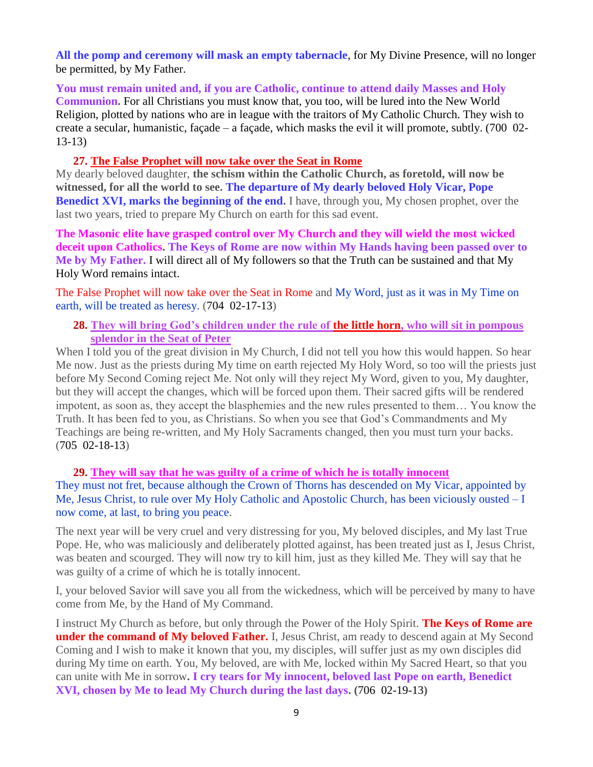**All the pomp and ceremony will mask an empty tabernacle**, for My Divine Presence, will no longer be permitted, by My Father.

**You must remain united and, if you are Catholic, continue to attend daily Masses and Holy Communion.** For all Christians you must know that, you too, will be lured into the New World Religion, plotted by nations who are in league with the traitors of My Catholic Church. They wish to create a secular, humanistic, façade – a façade, which masks the evil it will promote, subtly. (700 02- 13-13)

#### **27. [The False Prophet will now take over the Seat in Rome](http://www.thewarningsecondcoming.com/the-false-prophet-will-now-take-over-the-seat-in-rome/)**

My dearly beloved daughter, **the schism within the Catholic Church, as foretold, will now be witnessed, for all the world to see. The departure of My dearly beloved Holy Vicar, Pope Benedict XVI, marks the beginning of the end.** I have, through you, My chosen prophet, over the last two years, tried to prepare My Church on earth for this sad event.

**The Masonic elite have grasped control over My Church and they will wield the most wicked deceit upon Catholics. The Keys of Rome are now within My Hands having been passed over to Me by My Father.** I will direct all of My followers so that the Truth can be sustained and that My Holy Word remains intact.

The False Prophet will now take over the Seat in Rome and My Word, just as it was in My Time on earth, will be treated as heresy. (704 02-17-13)

#### **28. [They will bring God's children under the rule of the little horn, who will sit in pompous](http://www.thewarningsecondcoming.com/they-will-bring-gods-children-under-the-rule-of-the-little-horn-who-will-sit-in-pompous-splendour-in-the-seat-of-peter/)  [splendor in the Seat of Peter](http://www.thewarningsecondcoming.com/they-will-bring-gods-children-under-the-rule-of-the-little-horn-who-will-sit-in-pompous-splendour-in-the-seat-of-peter/)**

When I told you of the great division in My Church, I did not tell you how this would happen. So hear Me now. Just as the priests during My time on earth rejected My Holy Word, so too will the priests just before My Second Coming reject Me. Not only will they reject My Word, given to you, My daughter, but they will accept the changes, which will be forced upon them. Their sacred gifts will be rendered impotent, as soon as, they accept the blasphemies and the new rules presented to them… You know the Truth. It has been fed to you, as Christians. So when you see that God's Commandments and My Teachings are being re-written, and My Holy Sacraments changed, then you must turn your backs. (705 02-18-13)

#### **29. [They will say that he was guilty of a crime of which he is totally innocent](http://www.thewarningsecondcoming.com/they-will-say-that-he-was-guilty-of-a-crime-of-which-he-is-totally-innocent/)**

They must not fret, because although the Crown of Thorns has descended on My Vicar, appointed by Me, Jesus Christ, to rule over My Holy Catholic and Apostolic Church, has been viciously ousted – I now come, at last, to bring you peace.

The next year will be very cruel and very distressing for you, My beloved disciples, and My last True Pope. He, who was maliciously and deliberately plotted against, has been treated just as I, Jesus Christ, was beaten and scourged. They will now try to kill him, just as they killed Me. They will say that he was guilty of a crime of which he is totally innocent.

I, your beloved Savior will save you all from the wickedness, which will be perceived by many to have come from Me, by the Hand of My Command.

I instruct My Church as before, but only through the Power of the Holy Spirit. **The Keys of Rome are under the command of My beloved Father.** I, Jesus Christ, am ready to descend again at My Second Coming and I wish to make it known that you, my disciples, will suffer just as my own disciples did during My time on earth. You, My beloved, are with Me, locked within My Sacred Heart, so that you can unite with Me in sorrow**. I cry tears for My innocent, beloved last Pope on earth, Benedict XVI, chosen by Me to lead My Church during the last days. (**706 02-19-13**)**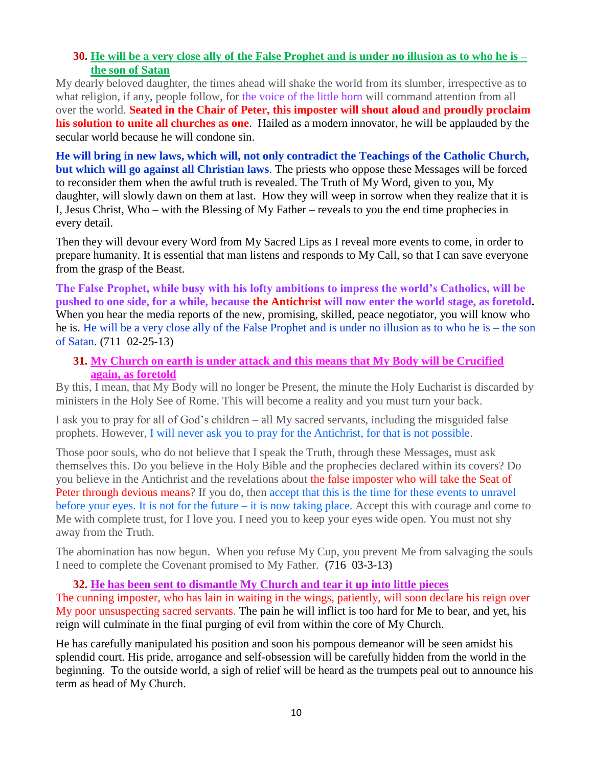#### **30. [He will be a very close ally of the False Prophet and is under no illusion as to who he is –](http://www.thewarningsecondcoming.com/he-will-be-a-very-close-ally-of-the-false-prophet-and-is-under-no-illusion-as-to-who-he-is-the-son-of-satan/) [the son of Satan](http://www.thewarningsecondcoming.com/he-will-be-a-very-close-ally-of-the-false-prophet-and-is-under-no-illusion-as-to-who-he-is-the-son-of-satan/)**

My dearly beloved daughter, the times ahead will shake the world from its slumber, irrespective as to what religion, if any, people follow, for the voice of the little horn will command attention from all over the world. **Seated in the Chair of Peter, this imposter will shout aloud and proudly proclaim his solution to unite all churches as one**. Hailed as a modern innovator, he will be applauded by the secular world because he will condone sin.

**He will bring in new laws, which will, not only contradict the Teachings of the Catholic Church, but which will go against all Christian laws**. The priests who oppose these Messages will be forced to reconsider them when the awful truth is revealed. The Truth of My Word, given to you, My daughter, will slowly dawn on them at last. How they will weep in sorrow when they realize that it is I, Jesus Christ, Who – with the Blessing of My Father – reveals to you the end time prophecies in every detail.

Then they will devour every Word from My Sacred Lips as I reveal more events to come, in order to prepare humanity. It is essential that man listens and responds to My Call, so that I can save everyone from the grasp of the Beast.

**The False Prophet, while busy with his lofty ambitions to impress the world's Catholics, will be pushed to one side, for a while, because the Antichrist will now enter the world stage, as foretold.**  When you hear the media reports of the new, promising, skilled, peace negotiator, you will know who he is. He will be a very close ally of the False Prophet and is under no illusion as to who he is – the son of Satan. (711 02-25-13)

#### **31. [My Church on earth is under attack and this means that My Body will be Crucified](http://www.thewarningsecondcoming.com/my-church-on-earth-is-under-attack-and-this-means-that-my-body-will-be-crucified-again-as-foretold/)  [again, as foretold](http://www.thewarningsecondcoming.com/my-church-on-earth-is-under-attack-and-this-means-that-my-body-will-be-crucified-again-as-foretold/)**

By this, I mean, that My Body will no longer be Present, the minute the Holy Eucharist is discarded by ministers in the Holy See of Rome. This will become a reality and you must turn your back.

I ask you to pray for all of God's children – all My sacred servants, including the misguided false prophets. However, I will never ask you to pray for the Antichrist, for that is not possible.

Those poor souls, who do not believe that I speak the Truth, through these Messages, must ask themselves this. Do you believe in the Holy Bible and the prophecies declared within its covers? Do you believe in the Antichrist and the revelations about the false imposter who will take the Seat of Peter through devious means? If you do, then accept that this is the time for these events to unravel before your eyes. It is not for the future – it is now taking place. Accept this with courage and come to Me with complete trust, for I love you. I need you to keep your eyes wide open. You must not shy away from the Truth.

The abomination has now begun. When you refuse My Cup, you prevent Me from salvaging the souls I need to complete the Covenant promised to My Father. **(**716 03-3-13**)**

#### **32. [He has been sent to dismantle My Church and tear it up into little pieces](http://www.thewarningsecondcoming.com/he-has-been-sent-to-dismantle-my-church-and-tear-it-up-into-little-pieces/)**

The cunning imposter, who has lain in waiting in the wings, patiently, will soon declare his reign over My poor unsuspecting sacred servants. The pain he will inflict is too hard for Me to bear, and yet, his reign will culminate in the final purging of evil from within the core of My Church.

He has carefully manipulated his position and soon his pompous demeanor will be seen amidst his splendid court. His pride, arrogance and self-obsession will be carefully hidden from the world in the beginning. To the outside world, a sigh of relief will be heard as the trumpets peal out to announce his term as head of My Church.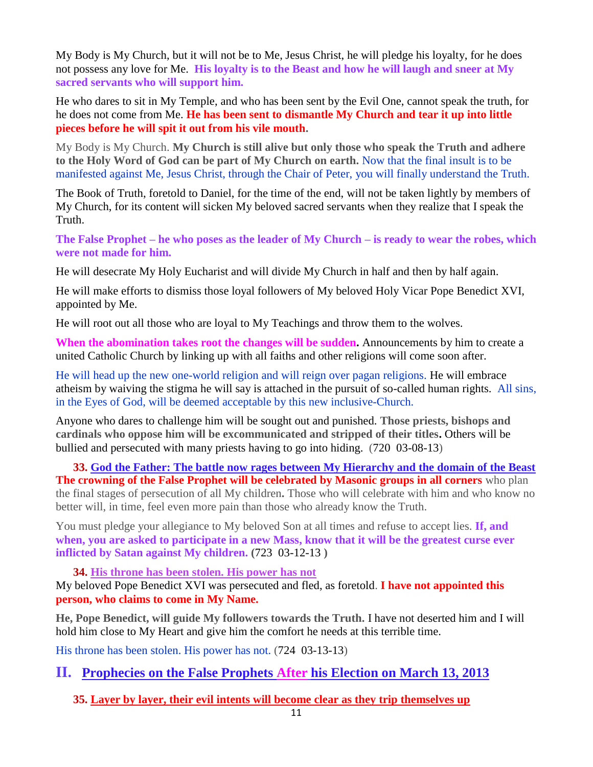My Body is My Church, but it will not be to Me, Jesus Christ, he will pledge his loyalty, for he does not possess any love for Me. **His loyalty is to the Beast and how he will laugh and sneer at My sacred servants who will support him.**

He who dares to sit in My Temple, and who has been sent by the Evil One, cannot speak the truth, for he does not come from Me. **He has been sent to dismantle My Church and tear it up into little pieces before he will spit it out from his vile mouth.**

My Body is My Church. **My Church is still alive but only those who speak the Truth and adhere to the Holy Word of God can be part of My Church on earth.** Now that the final insult is to be manifested against Me, Jesus Christ, through the Chair of Peter, you will finally understand the Truth.

The Book of Truth, foretold to Daniel, for the time of the end, will not be taken lightly by members of My Church, for its content will sicken My beloved sacred servants when they realize that I speak the Truth.

**The False Prophet – he who poses as the leader of My Church – is ready to wear the robes, which were not made for him.**

He will desecrate My Holy Eucharist and will divide My Church in half and then by half again.

He will make efforts to dismiss those loyal followers of My beloved Holy Vicar Pope Benedict XVI, appointed by Me.

He will root out all those who are loyal to My Teachings and throw them to the wolves.

**When the abomination takes root the changes will be sudden.** Announcements by him to create a united Catholic Church by linking up with all faiths and other religions will come soon after.

He will head up the new one-world religion and will reign over pagan religions. He will embrace atheism by waiving the stigma he will say is attached in the pursuit of so-called human rights. All sins, in the Eyes of God, will be deemed acceptable by this new inclusive-Church.

Anyone who dares to challenge him will be sought out and punished. **Those priests, bishops and cardinals who oppose him will be excommunicated and stripped of their titles.** Others will be bullied and persecuted with many priests having to go into hiding. (720 03-08-13)

**33. [God the Father: The battle now rages between My Hierarchy and the domain of the Beast](http://www.thewarningsecondcoming.com/god-the-father-the-battle-now-rages-between-my-hierarchy-and-the-domain-of-the-beast/) The crowning of the False Prophet will be celebrated by Masonic groups in all corners** who plan the final stages of persecution of all My children**.** Those who will celebrate with him and who know no better will, in time, feel even more pain than those who already know the Truth.

You must pledge your allegiance to My beloved Son at all times and refuse to accept lies. **If, and when, you are asked to participate in a new Mass, know that it will be the greatest curse ever inflicted by Satan against My children. (**723 03-12-13 **)**

**34. [His throne has been stolen. His power has not](http://www.thewarningsecondcoming.com/his-throne-has-been-stolen-his-power-has-not/)** My beloved Pope Benedict XVI was persecuted and fled, as foretold. **I have not appointed this person, who claims to come in My Name.**

**He, Pope Benedict, will guide My followers towards the Truth.** I have not deserted him and I will hold him close to My Heart and give him the comfort he needs at this terrible time.

His throne has been stolen. His power has not. (724 03-13-13)

## **II. Prophecies on the False Prophets After his Election on March 13, 2013**

**35. Layer by layer, their [evil intents will become clear as they trip themselves up](http://www.thewarningsecondcoming.com/layer-by-layer-their-evil-intents-will-become-clear-as-they-trip-themselves-up/)**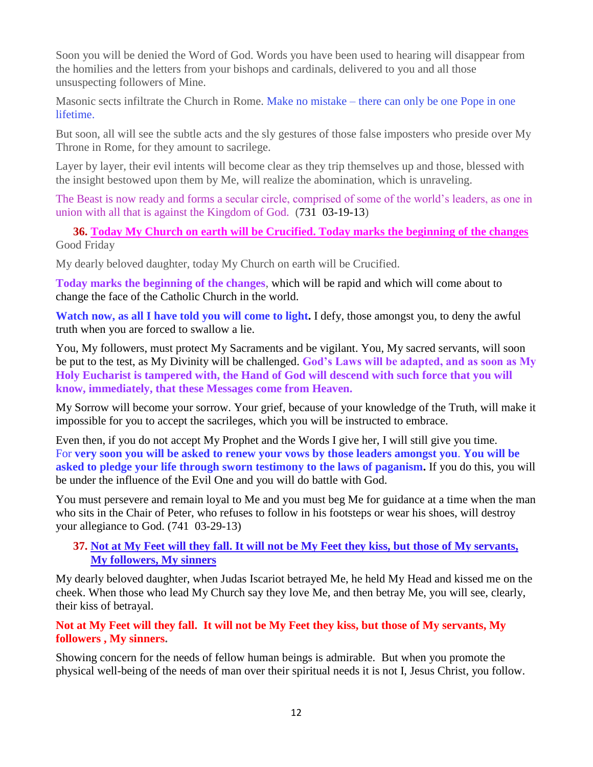Soon you will be denied the Word of God. Words you have been used to hearing will disappear from the homilies and the letters from your bishops and cardinals, delivered to you and all those unsuspecting followers of Mine.

Masonic sects infiltrate the Church in Rome. Make no mistake – there can only be one Pope in one lifetime.

But soon, all will see the subtle acts and the sly gestures of those false imposters who preside over My Throne in Rome, for they amount to sacrilege.

Layer by layer, their evil intents will become clear as they trip themselves up and those, blessed with the insight bestowed upon them by Me, will realize the abomination, which is unraveling.

The Beast is now ready and forms a secular circle, comprised of some of the world's leaders, as one in union with all that is against the Kingdom of God. (731 03-19-13)

**36. [Today My Church on earth will be Crucified. Today marks the beginning of the changes](http://www.thewarningsecondcoming.com/today-my-church-on-earth-will-be-crucified-today-marks-the-beginning-of-the-changes/)** Good Friday

My dearly beloved daughter, today My Church on earth will be Crucified.

**Today marks the beginning of the changes**, which will be rapid and which will come about to change the face of the Catholic Church in the world.

**Watch now, as all I have told you will come to light.** I defy, those amongst you, to deny the awful truth when you are forced to swallow a lie.

You, My followers, must protect My Sacraments and be vigilant. You, My sacred servants, will soon be put to the test, as My Divinity will be challenged. **God's Laws will be adapted, and as soon as My Holy Eucharist is tampered with, the Hand of God will descend with such force that you will know, immediately, that these Messages come from Heaven.**

My Sorrow will become your sorrow. Your grief, because of your knowledge of the Truth, will make it impossible for you to accept the sacrileges, which you will be instructed to embrace.

Even then, if you do not accept My Prophet and the Words I give her, I will still give you time. For **very soon you will be asked to renew your vows by those leaders amongst you**. **You will be asked to pledge your life through sworn testimony to the laws of paganism.** If you do this, you will be under the influence of the Evil One and you will do battle with God.

You must persevere and remain loyal to Me and you must beg Me for guidance at a time when the man who sits in the Chair of Peter, who refuses to follow in his footsteps or wear his shoes, will destroy your allegiance to God. (741 03-29-13)

#### **37. [Not at My Feet will they fall. It will not be My Feet they kiss, but those of My servants,](http://www.thewarningsecondcoming.com/not-at-my-feet-will-they-fall-it-will-not-be-my-feet-they-kiss-but-those-of-my-servants-my-followers-my-sinners/)  [My followers, My sinners](http://www.thewarningsecondcoming.com/not-at-my-feet-will-they-fall-it-will-not-be-my-feet-they-kiss-but-those-of-my-servants-my-followers-my-sinners/)**

My dearly beloved daughter, when Judas Iscariot betrayed Me, he held My Head and kissed me on the cheek. When those who lead My Church say they love Me, and then betray Me, you will see, clearly, their kiss of betrayal.

#### **Not at My Feet will they fall. It will not be My Feet they kiss, but those of My servants, My followers , My sinners.**

Showing concern for the needs of fellow human beings is admirable. But when you promote the physical well-being of the needs of man over their spiritual needs it is not I, Jesus Christ, you follow.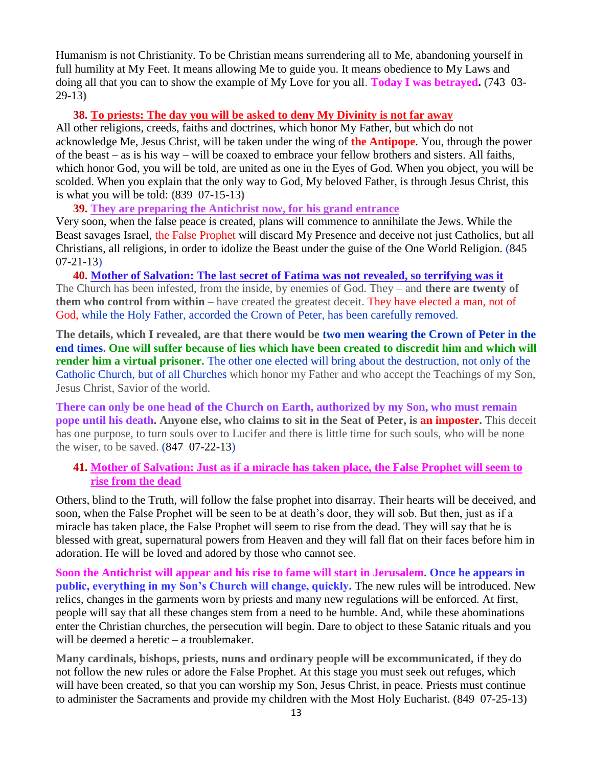Humanism is not Christianity. To be Christian means surrendering all to Me, abandoning yourself in full humility at My Feet. It means allowing Me to guide you. It means obedience to My Laws and doing all that you can to show the example of My Love for you all. **Today I was betrayed. (**743 03- 29-13**)**

#### **38. [To priests: The day you will be asked to deny My Divinity is not far away](http://www.thewarningsecondcoming.com/to-priests-the-day-you-will-be-asked-to-deny-my-divinity-is-not-far-away/)**

All other religions, creeds, faiths and doctrines, which honor My Father, but which do not acknowledge Me, Jesus Christ, will be taken under the wing of **the Antipope**. You, through the power of the beast – as is his way – will be coaxed to embrace your fellow brothers and sisters. All faiths, which honor God, you will be told, are united as one in the Eyes of God. When you object, you will be scolded. When you explain that the only way to God, My beloved Father, is through Jesus Christ, this is what you will be told: **(**839 07-15-13**)**

**39. [They are preparing the Antichrist now, for his grand entrance](http://www.thewarningsecondcoming.com/they-are-preparing-the-antichrist-now-for-his-grand-entrance/)**

Very soon, when the false peace is created, plans will commence to annihilate the Jews. While the Beast savages Israel, the False Prophet will discard My Presence and deceive not just Catholics, but all Christians, all religions, in order to idolize the Beast under the guise of the One World Religion. (845 07-21-13)

**40. [Mother of Salvation: The last secret of Fatima was not revealed, so terrifying was it](http://www.thewarningsecondcoming.com/mother-of-salvation-the-last-secret-of-fatima-was-not-revealed-so-terrifying-was-it/)** The Church has been infested, from the inside, by enemies of God. They – and **there are twenty of them who control from within** – have created the greatest deceit. They have elected a man, not of God, while the Holy Father, accorded the Crown of Peter, has been carefully removed.

**The details, which I revealed, are that there would be two men wearing the Crown of Peter in the end times. One will suffer because of lies which have been created to discredit him and which will render him a virtual prisoner.** The other one elected will bring about the destruction, not only of the Catholic Church, but of all Churches which honor my Father and who accept the Teachings of my Son, Jesus Christ, Savior of the world.

**There can only be one head of the Church on Earth, authorized by my Son, who must remain pope until his death. Anyone else, who claims to sit in the Seat of Peter, is an imposter.** This deceit has one purpose, to turn souls over to Lucifer and there is little time for such souls, who will be none the wiser, to be saved. (847 07-22-13)

#### **41. [Mother of Salvation: Just as if a miracle has taken place, the False Prophet will seem to](http://www.thewarningsecondcoming.com/just-as-if-a-miracle-has-taken-place-the-false-prophet-will-seem-to-rise-from-the-dead/)  [rise from the dead](http://www.thewarningsecondcoming.com/just-as-if-a-miracle-has-taken-place-the-false-prophet-will-seem-to-rise-from-the-dead/)**

Others, blind to the Truth, will follow the false prophet into disarray. Their hearts will be deceived, and soon, when the False Prophet will be seen to be at death's door, they will sob. But then, just as if a miracle has taken place, the False Prophet will seem to rise from the dead. They will say that he is blessed with great, supernatural powers from Heaven and they will fall flat on their faces before him in adoration. He will be loved and adored by those who cannot see.

**Soon the Antichrist will appear and his rise to fame will start in Jerusalem. Once he appears in public, everything in my Son's Church will change, quickly.** The new rules will be introduced. New relics, changes in the garments worn by priests and many new regulations will be enforced. At first, people will say that all these changes stem from a need to be humble. And, while these abominations enter the Christian churches, the persecution will begin. Dare to object to these Satanic rituals and you will be deemed a heretic – a troublemaker.

**Many cardinals, bishops, priests, nuns and ordinary people will be excommunicated,** if they do not follow the new rules or adore the False Prophet. At this stage you must seek out refuges, which will have been created, so that you can worship my Son, Jesus Christ, in peace. Priests must continue to administer the Sacraments and provide my children with the Most Holy Eucharist. (849 07-25-13)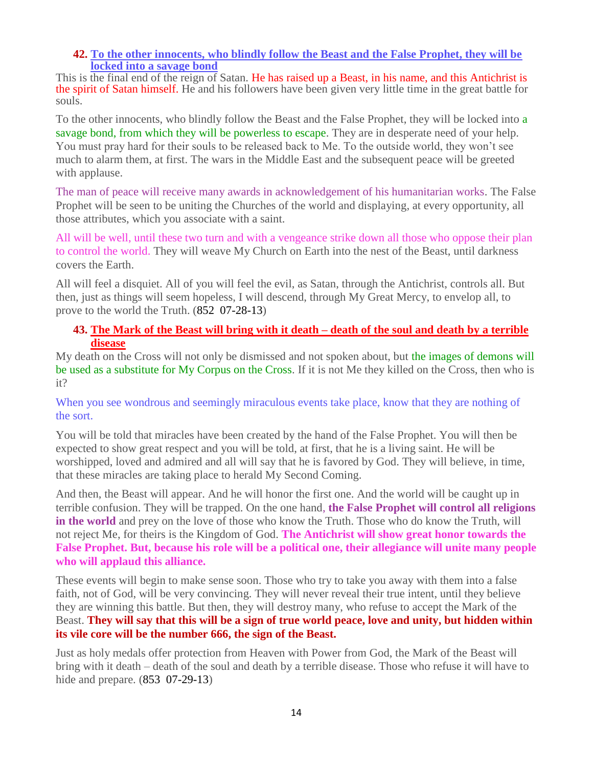#### **42. [To the other innocents, who blindly follow the Beast and the False Prophet, they will be](http://www.thewarningsecondcoming.com/to-the-other-innocents-who-blindly-follow-the-beast-and-the-false-prophet-they-will-be-locked-into-a-savage-bond/)  [locked into a savage bond](http://www.thewarningsecondcoming.com/to-the-other-innocents-who-blindly-follow-the-beast-and-the-false-prophet-they-will-be-locked-into-a-savage-bond/)**

This is the final end of the reign of Satan. He has raised up a Beast, in his name, and this Antichrist is the spirit of Satan himself. He and his followers have been given very little time in the great battle for souls.

To the other innocents, who blindly follow the Beast and the False Prophet, they will be locked into a savage bond, from which they will be powerless to escape. They are in desperate need of your help. You must pray hard for their souls to be released back to Me. To the outside world, they won't see much to alarm them, at first. The wars in the Middle East and the subsequent peace will be greeted with applause.

The man of peace will receive many awards in acknowledgement of his humanitarian works. The False Prophet will be seen to be uniting the Churches of the world and displaying, at every opportunity, all those attributes, which you associate with a saint.

All will be well, until these two turn and with a vengeance strike down all those who oppose their plan to control the world. They will weave My Church on Earth into the nest of the Beast, until darkness covers the Earth.

All will feel a disquiet. All of you will feel the evil, as Satan, through the Antichrist, controls all. But then, just as things will seem hopeless, I will descend, through My Great Mercy, to envelop all, to prove to the world the Truth. (852 07-28-13)

#### **43. [The Mark of the Beast will bring with it death –](http://www.thewarningsecondcoming.com/the-mark-of-the-beast-will-bring-with-it-death-death-of-the-soul-and-death-by-a-terrible-disease/) death of the soul and death by a terrible [disease](http://www.thewarningsecondcoming.com/the-mark-of-the-beast-will-bring-with-it-death-death-of-the-soul-and-death-by-a-terrible-disease/)**

My death on the Cross will not only be dismissed and not spoken about, but the images of demons will be used as a substitute for My Corpus on the Cross. If it is not Me they killed on the Cross, then who is it?

When you see wondrous and seemingly miraculous events take place, know that they are nothing of the sort.

You will be told that miracles have been created by the hand of the False Prophet. You will then be expected to show great respect and you will be told, at first, that he is a living saint. He will be worshipped, loved and admired and all will say that he is favored by God. They will believe, in time, that these miracles are taking place to herald My Second Coming.

And then, the Beast will appear. And he will honor the first one. And the world will be caught up in terrible confusion. They will be trapped. On the one hand, **the False Prophet will control all religions in the world** and prey on the love of those who know the Truth. Those who do know the Truth, will not reject Me, for theirs is the Kingdom of God. **The Antichrist will show great honor towards the False Prophet. But, because his role will be a political one, their allegiance will unite many people who will applaud this alliance.**

These events will begin to make sense soon. Those who try to take you away with them into a false faith, not of God, will be very convincing. They will never reveal their true intent, until they believe they are winning this battle. But then, they will destroy many, who refuse to accept the Mark of the Beast. **They will say that this will be a sign of true world peace, love and unity, but hidden within its vile core will be the number 666, the sign of the Beast.**

Just as holy medals offer protection from Heaven with Power from God, the Mark of the Beast will bring with it death – death of the soul and death by a terrible disease. Those who refuse it will have to hide and prepare. (853 07-29-13)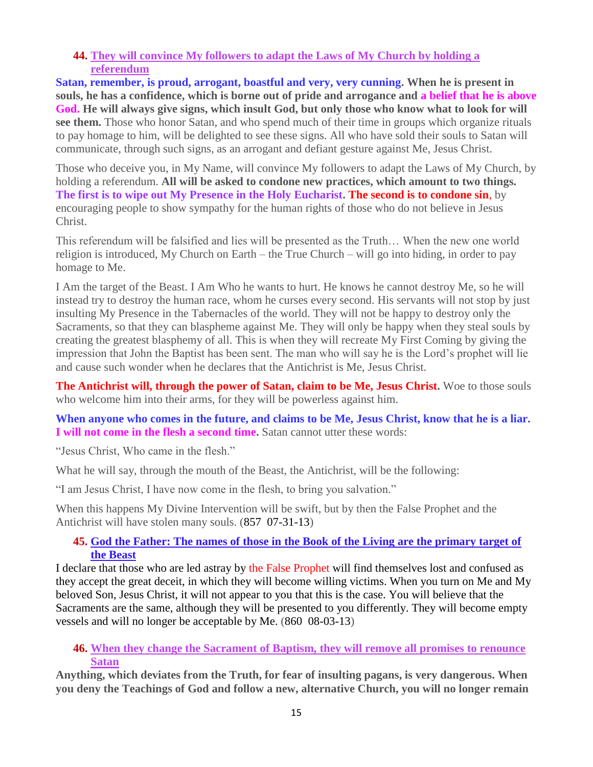#### **44. [They will convince My followers to adapt the Laws of My Church by holding a](http://www.thewarningsecondcoming.com/they-will-convince-my-followers-to-adapt-the-laws-of-my-church-by-holding-a-referendum/)  [referendum](http://www.thewarningsecondcoming.com/they-will-convince-my-followers-to-adapt-the-laws-of-my-church-by-holding-a-referendum/)**

**Satan, remember, is proud, arrogant, boastful and very, very cunning. When he is present in souls, he has a confidence, which is borne out of pride and arrogance and a belief that he is above God. He will always give signs, which insult God, but only those who know what to look for will see them.** Those who honor Satan, and who spend much of their time in groups which organize rituals to pay homage to him, will be delighted to see these signs. All who have sold their souls to Satan will communicate, through such signs, as an arrogant and defiant gesture against Me, Jesus Christ.

Those who deceive you, in My Name, will convince My followers to adapt the Laws of My Church, by holding a referendum. **All will be asked to condone new practices, which amount to two things. The first is to wipe out My Presence in the Holy Eucharist. The second is to condone sin**, by encouraging people to show sympathy for the human rights of those who do not believe in Jesus Christ.

This referendum will be falsified and lies will be presented as the Truth… When the new one world religion is introduced, My Church on Earth – the True Church – will go into hiding, in order to pay homage to Me.

I Am the target of the Beast. I Am Who he wants to hurt. He knows he cannot destroy Me, so he will instead try to destroy the human race, whom he curses every second. His servants will not stop by just insulting My Presence in the Tabernacles of the world. They will not be happy to destroy only the Sacraments, so that they can blaspheme against Me. They will only be happy when they steal souls by creating the greatest blasphemy of all. This is when they will recreate My First Coming by giving the impression that John the Baptist has been sent. The man who will say he is the Lord's prophet will lie and cause such wonder when he declares that the Antichrist is Me, Jesus Christ.

**The Antichrist will, through the power of Satan, claim to be Me, Jesus Christ.** Woe to those souls who welcome him into their arms, for they will be powerless against him.

#### **When anyone who comes in the future, and claims to be Me, Jesus Christ, know that he is a liar. I will not come in the flesh a second time.** Satan cannot utter these words:

"Jesus Christ, Who came in the flesh."

What he will say, through the mouth of the Beast, the Antichrist, will be the following:

"I am Jesus Christ, I have now come in the flesh, to bring you salvation."

When this happens My Divine Intervention will be swift, but by then the False Prophet and the Antichrist will have stolen many souls. (857 07-31-13)

#### **45. [God the Father: The names of those in the Book of the Living are the primary target of](http://www.thewarningsecondcoming.com/god-the-father-the-names-of-those-in-the-book-of-the-living-are-the-primary-target-of-the-beast/)  [the Beast](http://www.thewarningsecondcoming.com/god-the-father-the-names-of-those-in-the-book-of-the-living-are-the-primary-target-of-the-beast/)**

I declare that those who are led astray by the False Prophet will find themselves lost and confused as they accept the great deceit, in which they will become willing victims. When you turn on Me and My beloved Son, Jesus Christ, it will not appear to you that this is the case. You will believe that the Sacraments are the same, although they will be presented to you differently. They will become empty vessels and will no longer be acceptable by Me. (860 08-03-13)

#### **46. When they change the Sacrament of Baptism, they will remove all promises to renounce Satan**

**Anything, which deviates from the Truth, for fear of insulting pagans, is very dangerous. When you deny the Teachings of God and follow a new, alternative Church, you will no longer remain**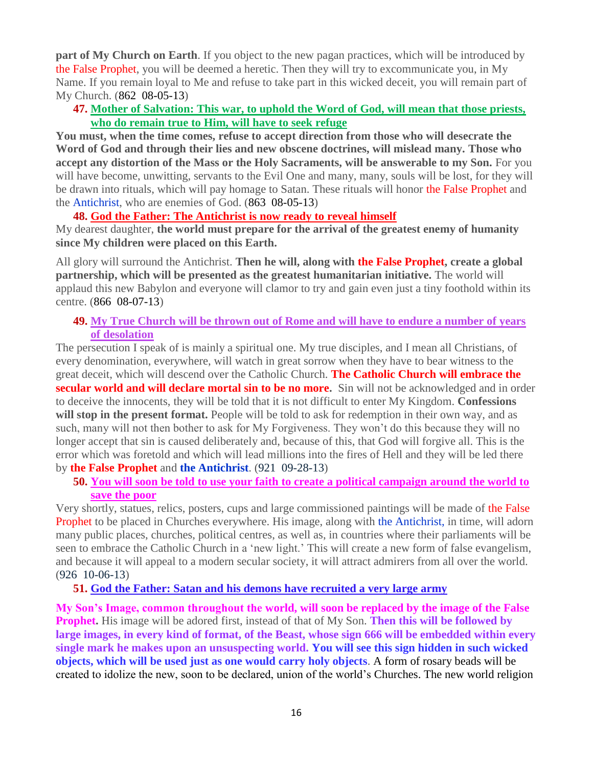**part of My Church on Earth**. If you object to the new pagan practices, which will be introduced by the False Prophet, you will be deemed a heretic. Then they will try to excommunicate you, in My Name. If you remain loyal to Me and refuse to take part in this wicked deceit, you will remain part of My Church. (862 08-05-13)

#### **47. [Mother of Salvation: This war, to uphold the Word of God, will mean that those priests,](http://www.thewarningsecondcoming.com/mother-of-salvation-this-war-to-uphold-the-word-of-god-will-mean-that-those-priests-who-do-remain-true-to-him-will-have-to-seek-refuge/)  [who do remain true to Him, will have to seek refuge](http://www.thewarningsecondcoming.com/mother-of-salvation-this-war-to-uphold-the-word-of-god-will-mean-that-those-priests-who-do-remain-true-to-him-will-have-to-seek-refuge/)**

**You must, when the time comes, refuse to accept direction from those who will desecrate the Word of God and through their lies and new obscene doctrines, will mislead many. Those who accept any distortion of the Mass or the Holy Sacraments, will be answerable to my Son.** For you will have become, unwitting, servants to the Evil One and many, many, souls will be lost, for they will be drawn into rituals, which will pay homage to Satan. These rituals will honor the False Prophet and the Antichrist, who are enemies of God. (863 08-05-13)

#### **48. [God the Father: The Antichrist is now ready to reveal himself](http://www.thewarningsecondcoming.com/god-the-father-the-antichrist-is-now-ready-to-reveal-himself/)**

My dearest daughter, **the world must prepare for the arrival of the greatest enemy of humanity since My children were placed on this Earth.**

All glory will surround the Antichrist. **Then he will, along with the False Prophet, create a global partnership, which will be presented as the greatest humanitarian initiative.** The world will applaud this new Babylon and everyone will clamor to try and gain even just a tiny foothold within its centre. (866 08-07-13)

#### **49. [My True Church will be thrown out of Rome and will have to endure a number of years](http://www.thewarningsecondcoming.com/my-true-church-will-be-thrown-out-of-rome-and-will-have-to-endure-a-number-of-years-of-desolation/)  [of desolation](http://www.thewarningsecondcoming.com/my-true-church-will-be-thrown-out-of-rome-and-will-have-to-endure-a-number-of-years-of-desolation/)**

The persecution I speak of is mainly a spiritual one. My true disciples, and I mean all Christians, of every denomination, everywhere, will watch in great sorrow when they have to bear witness to the great deceit, which will descend over the Catholic Church. **The Catholic Church will embrace the secular world and will declare mortal sin to be no more.** Sin will not be acknowledged and in order to deceive the innocents, they will be told that it is not difficult to enter My Kingdom. **Confessions**  will stop in the present format. People will be told to ask for redemption in their own way, and as such, many will not then bother to ask for My Forgiveness. They won't do this because they will no longer accept that sin is caused deliberately and, because of this, that God will forgive all. This is the error which was foretold and which will lead millions into the fires of Hell and they will be led there by **the False Prophet** and **the Antichrist**. (921 09-28-13)

**50. [You will soon be told to use your faith to create a political campaign around the world to](http://www.thewarningsecondcoming.com/you-will-soon-be-told-to-use-your-faith-to-create-a-political-campaign-around-the-world-to-save-the-poor/)  [save the poor](http://www.thewarningsecondcoming.com/you-will-soon-be-told-to-use-your-faith-to-create-a-political-campaign-around-the-world-to-save-the-poor/)**

Very shortly, statues, relics, posters, cups and large commissioned paintings will be made of the False Prophet to be placed in Churches everywhere. His image, along with the Antichrist, in time, will adorn many public places, churches, political centres, as well as, in countries where their parliaments will be seen to embrace the Catholic Church in a 'new light.' This will create a new form of false evangelism, and because it will appeal to a modern secular society, it will attract admirers from all over the world. (926 10-06-13)

**51. [God the Father: Satan and his demons have recruited a very large army](http://www.thewarningsecondcoming.com/god-the-father-satan-and-his-demons-have-recruited-a-very-large-army/)**

**My Son's Image, common throughout the world, will soon be replaced by the image of the False Prophet.** His image will be adored first, instead of that of My Son. **Then this will be followed by large images, in every kind of format, of the Beast, whose sign 666 will be embedded within every single mark he makes upon an unsuspecting world. You will see this sign hidden in such wicked objects, which will be used just as one would carry holy objects**. A form of rosary beads will be created to idolize the new, soon to be declared, union of the world's Churches. The new world religion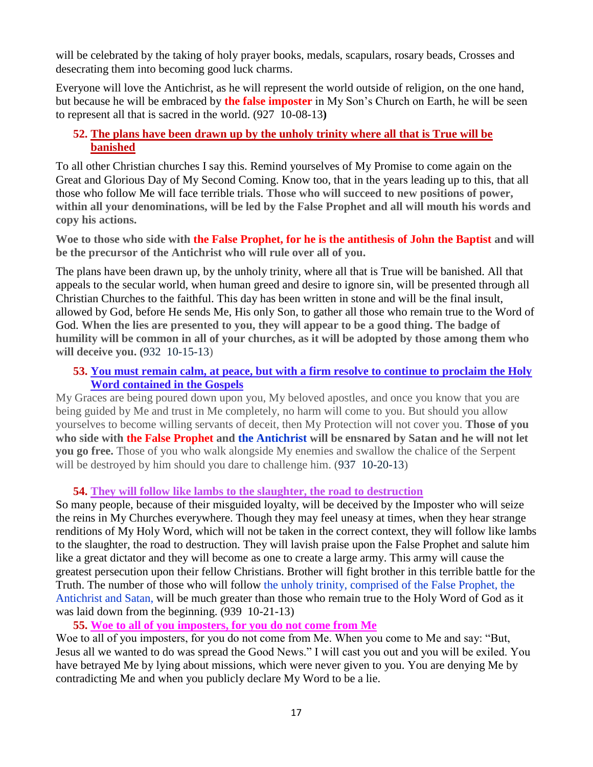will be celebrated by the taking of holy prayer books, medals, scapulars, rosary beads, Crosses and desecrating them into becoming good luck charms.

Everyone will love the Antichrist, as he will represent the world outside of religion, on the one hand, but because he will be embraced by **the false imposter** in My Son's Church on Earth, he will be seen to represent all that is sacred in the world. (927 10-08-13**)**

#### **52. [The plans have been drawn up by the unholy trinity where all that is True will be](http://www.thewarningsecondcoming.com/the-plans-have-been-drawn-up-by-the-unholy-trinity-where-all-that-is-true-will-be-banished/)  [banished](http://www.thewarningsecondcoming.com/the-plans-have-been-drawn-up-by-the-unholy-trinity-where-all-that-is-true-will-be-banished/)**

To all other Christian churches I say this. Remind yourselves of My Promise to come again on the Great and Glorious Day of My Second Coming. Know too, that in the years leading up to this, that all those who follow Me will face terrible trials. **Those who will succeed to new positions of power, within all your denominations, will be led by the False Prophet and all will mouth his words and copy his actions.**

**Woe to those who side with the False Prophet, for he is the antithesis of John the Baptist and will be the precursor of the Antichrist who will rule over all of you.**

The plans have been drawn up, by the unholy trinity, where all that is True will be banished. All that appeals to the secular world, when human greed and desire to ignore sin, will be presented through all Christian Churches to the faithful. This day has been written in stone and will be the final insult, allowed by God, before He sends Me, His only Son, to gather all those who remain true to the Word of God. **When the lies are presented to you, they will appear to be a good thing. The badge of humility will be common in all of your churches, as it will be adopted by those among them who will deceive you. (**932 10-15-13)

#### **53. [You must remain calm, at peace, but with a firm resolve to continue to proclaim the Holy](http://www.thewarningsecondcoming.com/you-must-remain-calm-at-peace-but-with-a-firm-resolve-to-continue-to-proclaim-the-holy-word-contained-in-the-gospels/)  [Word contained in the Gospels](http://www.thewarningsecondcoming.com/you-must-remain-calm-at-peace-but-with-a-firm-resolve-to-continue-to-proclaim-the-holy-word-contained-in-the-gospels/)**

My Graces are being poured down upon you, My beloved apostles, and once you know that you are being guided by Me and trust in Me completely, no harm will come to you. But should you allow yourselves to become willing servants of deceit, then My Protection will not cover you. **Those of you who side with the False Prophet and the Antichrist will be ensnared by Satan and he will not let you go free.** Those of you who walk alongside My enemies and swallow the chalice of the Serpent will be destroyed by him should you dare to challenge him. (937 10-20-13)

#### **54. [They will follow like lambs to the slaughter, the road to destruction](http://www.thewarningsecondcoming.com/they-will-follow-like-lambs-to-the-slaughter-the-road-to-destruction/)**

So many people, because of their misguided loyalty, will be deceived by the Imposter who will seize the reins in My Churches everywhere. Though they may feel uneasy at times, when they hear strange renditions of My Holy Word, which will not be taken in the correct context, they will follow like lambs to the slaughter, the road to destruction. They will lavish praise upon the False Prophet and salute him like a great dictator and they will become as one to create a large army. This army will cause the greatest persecution upon their fellow Christians. Brother will fight brother in this terrible battle for the Truth. The number of those who will follow the unholy trinity, comprised of the False Prophet, the Antichrist and Satan, will be much greater than those who remain true to the Holy Word of God as it was laid down from the beginning. (939 10-21-13)

**55. [Woe to all of you imposters, for you do not come from Me](http://www.thewarningsecondcoming.com/woe-to-all-of-you-imposters-for-you-do-not-come-from-me/)**

Woe to all of you imposters, for you do not come from Me. When you come to Me and say: "But, Jesus all we wanted to do was spread the Good News." I will cast you out and you will be exiled. You have betrayed Me by lying about missions, which were never given to you. You are denying Me by contradicting Me and when you publicly declare My Word to be a lie.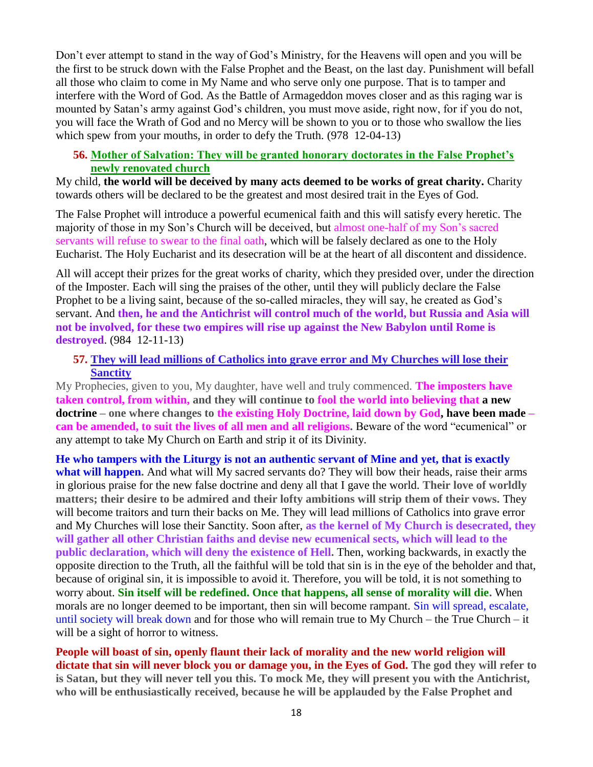Don't ever attempt to stand in the way of God's Ministry, for the Heavens will open and you will be the first to be struck down with the False Prophet and the Beast, on the last day. Punishment will befall all those who claim to come in My Name and who serve only one purpose. That is to tamper and interfere with the Word of God. As the Battle of Armageddon moves closer and as this raging war is mounted by Satan's army against God's children, you must move aside, right now, for if you do not, you will face the Wrath of God and no Mercy will be shown to you or to those who swallow the lies which spew from your mouths, in order to defy the Truth. (978 12-04-13)

#### **56. [Mother of Salvation: They will be granted honorary doctorates in the False Prophet's](http://www.thewarningsecondcoming.com/mother-of-salvation-they-will-be-granted-honorary-doctorates-in-the-false-prophets-newly-renovated-church/)  [newly renovated church](http://www.thewarningsecondcoming.com/mother-of-salvation-they-will-be-granted-honorary-doctorates-in-the-false-prophets-newly-renovated-church/)**

My child, **the world will be deceived by many acts deemed to be works of great charity.** Charity towards others will be declared to be the greatest and most desired trait in the Eyes of God.

The False Prophet will introduce a powerful ecumenical faith and this will satisfy every heretic. The majority of those in my Son's Church will be deceived, but almost one-half of my Son's sacred servants will refuse to swear to the final oath, which will be falsely declared as one to the Holy Eucharist. The Holy Eucharist and its desecration will be at the heart of all discontent and dissidence.

All will accept their prizes for the great works of charity, which they presided over, under the direction of the Imposter. Each will sing the praises of the other, until they will publicly declare the False Prophet to be a living saint, because of the so-called miracles, they will say, he created as God's servant. And **then, he and the Antichrist will control much of the world, but Russia and Asia will not be involved, for these two empires will rise up against the New Babylon until Rome is destroyed**. (984 12-11-13)

#### **57. [They will lead millions of Catholics into grave error and My Churches will lose their](http://www.thewarningsecondcoming.com/they-will-lead-millions-of-catholics-into-grave-error-and-my-churches-will-lose-their-sanctity/)  [Sanctity](http://www.thewarningsecondcoming.com/they-will-lead-millions-of-catholics-into-grave-error-and-my-churches-will-lose-their-sanctity/)**

My Prophecies, given to you, My daughter, have well and truly commenced. **The imposters have taken control, from within, and they will continue to fool the world into believing that a new doctrine – one where changes to the existing Holy Doctrine, laid down by God, have been made – can be amended, to suit the lives of all men and all religions.** Beware of the word "ecumenical" or any attempt to take My Church on Earth and strip it of its Divinity.

**He who tampers with the Liturgy is not an authentic servant of Mine and yet, that is exactly what will happen.** And what will My sacred servants do? They will bow their heads, raise their arms in glorious praise for the new false doctrine and deny all that I gave the world. **Their love of worldly matters; their desire to be admired and their lofty ambitions will strip them of their vows.** They will become traitors and turn their backs on Me. They will lead millions of Catholics into grave error and My Churches will lose their Sanctity. Soon after, **as the kernel of My Church is desecrated, they will gather all other Christian faiths and devise new ecumenical sects, which will lead to the public declaration, which will deny the existence of Hell.** Then, working backwards, in exactly the opposite direction to the Truth, all the faithful will be told that sin is in the eye of the beholder and that, because of original sin, it is impossible to avoid it. Therefore, you will be told, it is not something to worry about. **Sin itself will be redefined. Once that happens, all sense of morality will die.** When morals are no longer deemed to be important, then sin will become rampant. Sin will spread, escalate, until society will break down and for those who will remain true to My Church – the True Church – it will be a sight of horror to witness.

**People will boast of sin, openly flaunt their lack of morality and the new world religion will dictate that sin will never block you or damage you, in the Eyes of God. The god they will refer to is Satan, but they will never tell you this. To mock Me, they will present you with the Antichrist, who will be enthusiastically received, because he will be applauded by the False Prophet and**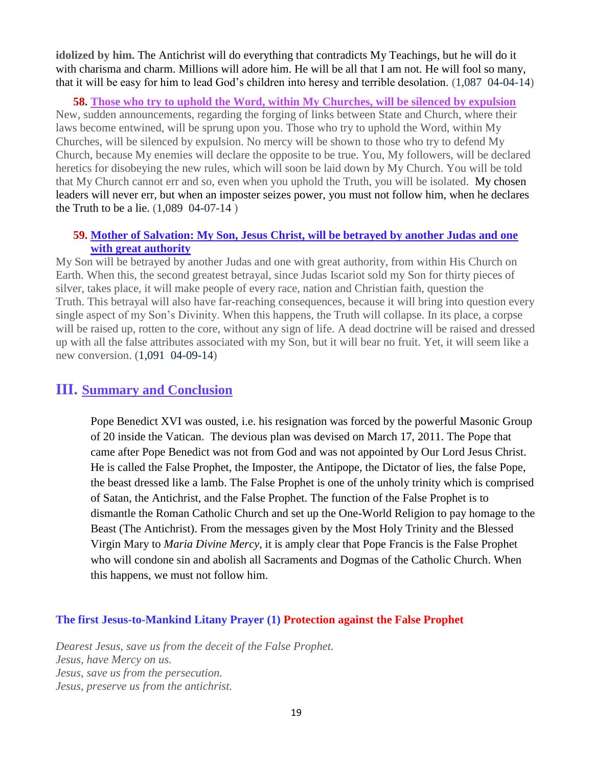**idolized by him.** The Antichrist will do everything that contradicts My Teachings, but he will do it with charisma and charm. Millions will adore him. He will be all that I am not. He will fool so many, that it will be easy for him to lead God's children into heresy and terrible desolation. (1,087 04-04-14)

**58. [Those who try to uphold the Word, within My Churches, will be silenced by expulsion](http://www.thewarningsecondcoming.com/those-who-try-to-uphold-the-word-within-my-churches-will-be-silenced-by-expulsion/)** New, sudden announcements, regarding the forging of links between State and Church, where their laws become entwined, will be sprung upon you. Those who try to uphold the Word, within My Churches, will be silenced by expulsion. No mercy will be shown to those who try to defend My Church, because My enemies will declare the opposite to be true. You, My followers, will be declared heretics for disobeying the new rules, which will soon be laid down by My Church. You will be told that My Church cannot err and so, even when you uphold the Truth, you will be isolated. My chosen leaders will never err, but when an imposter seizes power, you must not follow him, when he declares the Truth to be a lie. (1,089 04-07-14 )

#### **59. [Mother of Salvation: My Son, Jesus Christ, will be betrayed by another Judas and one](http://www.thewarningsecondcoming.com/mother-of-salvation-my-son-jesus-christ-will-be-betrayed-by-another-judas-and-one-with-great-authority/)  [with great authority](http://www.thewarningsecondcoming.com/mother-of-salvation-my-son-jesus-christ-will-be-betrayed-by-another-judas-and-one-with-great-authority/)**

My Son will be betrayed by another Judas and one with great authority, from within His Church on Earth. When this, the second greatest betrayal, since Judas Iscariot sold my Son for thirty pieces of silver, takes place, it will make people of every race, nation and Christian faith, question the Truth. This betrayal will also have far-reaching consequences, because it will bring into question every single aspect of my Son's Divinity. When this happens, the Truth will collapse. In its place, a corpse will be raised up, rotten to the core, without any sign of life. A dead doctrine will be raised and dressed up with all the false attributes associated with my Son, but it will bear no fruit. Yet, it will seem like a new conversion. (1,091 04-09-14)

## **III. Summary and Conclusion**

Pope Benedict XVI was ousted, i.e. his resignation was forced by the powerful Masonic Group of 20 inside the Vatican. The devious plan was devised on March 17, 2011. The Pope that came after Pope Benedict was not from God and was not appointed by Our Lord Jesus Christ. He is called the False Prophet, the Imposter, the Antipope, the Dictator of lies, the false Pope, the beast dressed like a lamb. The False Prophet is one of the unholy trinity which is comprised of Satan, the Antichrist, and the False Prophet. The function of the False Prophet is to dismantle the Roman Catholic Church and set up the One-World Religion to pay homage to the Beast (The Antichrist). From the messages given by the Most Holy Trinity and the Blessed Virgin Mary to *Maria Divine Mercy*, it is amply clear that Pope Francis is the False Prophet who will condone sin and abolish all Sacraments and Dogmas of the Catholic Church. When this happens, we must not follow him.

#### **The first Jesus-to-Mankind Litany Prayer (1) Protection against the False Prophet**

*Dearest Jesus, save us from the deceit of the False Prophet. Jesus, have Mercy on us. Jesus, save us from the persecution. Jesus, preserve us from the antichrist.*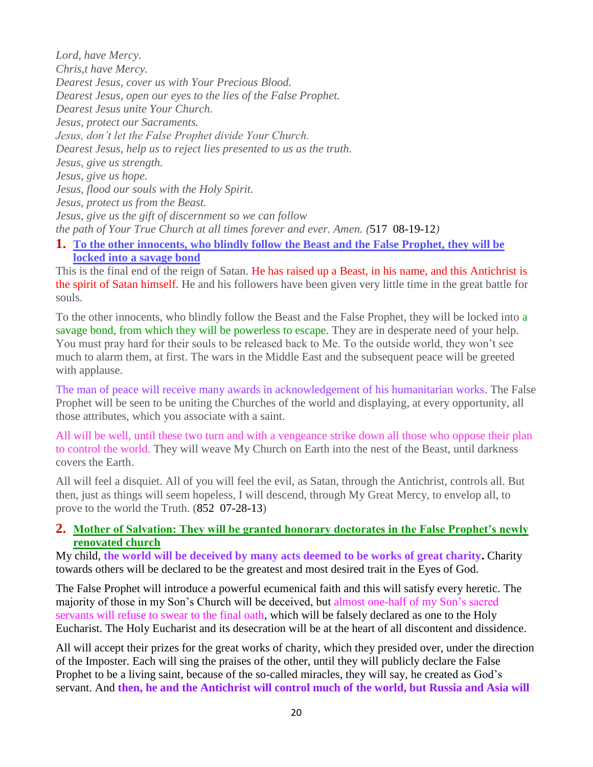*Lord, have Mercy. Chris,t have Mercy. Dearest Jesus, cover us with Your Precious Blood. Dearest Jesus, open our eyes to the lies of the False Prophet. Dearest Jesus unite Your Church. Jesus, protect our Sacraments. Jesus, don't let the False Prophet divide Your Church. Dearest Jesus, help us to reject lies presented to us as the truth. Jesus, give us strength. Jesus, give us hope. Jesus, flood our souls with the Holy Spirit. Jesus, protect us from the Beast. Jesus, give us the gift of discernment so we can follow the path of Your True Church at all times forever and ever. Amen. (*517 08-19-12*)* **1. [To the other innocents, who blindly follow the Beast and the False Prophet, they will be](http://www.thewarningsecondcoming.com/to-the-other-innocents-who-blindly-follow-the-beast-and-the-false-prophet-they-will-be-locked-into-a-savage-bond/)** 

## **[locked into a savage bond](http://www.thewarningsecondcoming.com/to-the-other-innocents-who-blindly-follow-the-beast-and-the-false-prophet-they-will-be-locked-into-a-savage-bond/)**

This is the final end of the reign of Satan. He has raised up a Beast, in his name, and this Antichrist is the spirit of Satan himself. He and his followers have been given very little time in the great battle for souls.

To the other innocents, who blindly follow the Beast and the False Prophet, they will be locked into a savage bond, from which they will be powerless to escape. They are in desperate need of your help. You must pray hard for their souls to be released back to Me. To the outside world, they won't see much to alarm them, at first. The wars in the Middle East and the subsequent peace will be greeted with applause.

The man of peace will receive many awards in acknowledgement of his humanitarian works. The False Prophet will be seen to be uniting the Churches of the world and displaying, at every opportunity, all those attributes, which you associate with a saint.

All will be well, until these two turn and with a vengeance strike down all those who oppose their plan to control the world. They will weave My Church on Earth into the nest of the Beast, until darkness covers the Earth.

All will feel a disquiet. All of you will feel the evil, as Satan, through the Antichrist, controls all. But then, just as things will seem hopeless, I will descend, through My Great Mercy, to envelop all, to prove to the world the Truth. (852 07-28-13)

#### **2. [Mother of Salvation: They will be granted honorary doctorates in the False Prophet's newly](http://www.thewarningsecondcoming.com/mother-of-salvation-they-will-be-granted-honorary-doctorates-in-the-false-prophets-newly-renovated-church/)  [renovated church](http://www.thewarningsecondcoming.com/mother-of-salvation-they-will-be-granted-honorary-doctorates-in-the-false-prophets-newly-renovated-church/)**

My child, **the world will be deceived by many acts deemed to be works of great charity.** Charity towards others will be declared to be the greatest and most desired trait in the Eyes of God.

The False Prophet will introduce a powerful ecumenical faith and this will satisfy every heretic. The majority of those in my Son's Church will be deceived, but almost one-half of my Son's sacred servants will refuse to swear to the final oath, which will be falsely declared as one to the Holy Eucharist. The Holy Eucharist and its desecration will be at the heart of all discontent and dissidence.

All will accept their prizes for the great works of charity, which they presided over, under the direction of the Imposter. Each will sing the praises of the other, until they will publicly declare the False Prophet to be a living saint, because of the so-called miracles, they will say, he created as God's servant. And **then, he and the Antichrist will control much of the world, but Russia and Asia will**